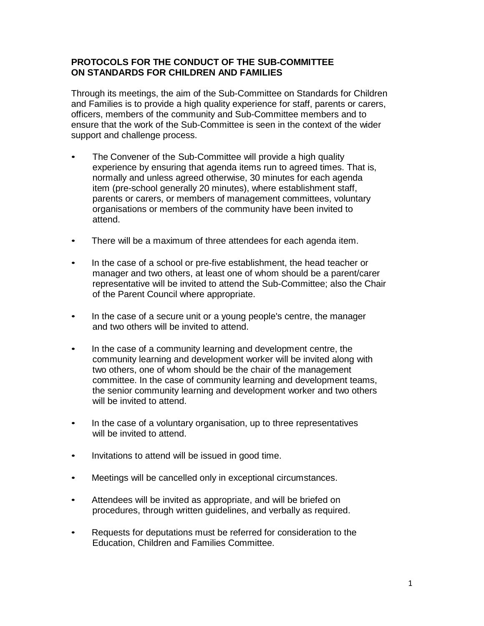## **PROTOCOLS FOR THE CONDUCT OF THE SUB-COMMITTEE ON STANDARDS FOR CHILDREN AND FAMILIES**

Through its meetings, the aim of the Sub-Committee on Standards for Children and Families is to provide a high quality experience for staff, parents or carers, officers, members of the community and Sub-Committee members and to ensure that the work of the Sub-Committee is seen in the context of the wider support and challenge process.

- The Convener of the Sub-Committee will provide a high quality experience by ensuring that agenda items run to agreed times. That is, normally and unless agreed otherwise, 30 minutes for each agenda item (pre-school generally 20 minutes), where establishment staff, parents or carers, or members of management committees, voluntary organisations or members of the community have been invited to attend.
- There will be a maximum of three attendees for each agenda item.
- In the case of a school or pre-five establishment, the head teacher or manager and two others, at least one of whom should be a parent/carer representative will be invited to attend the Sub-Committee; also the Chair of the Parent Council where appropriate.
- In the case of a secure unit or a young people's centre, the manager and two others will be invited to attend.
- In the case of a community learning and development centre, the community learning and development worker will be invited along with two others, one of whom should be the chair of the management committee. In the case of community learning and development teams, the senior community learning and development worker and two others will be invited to attend.
- In the case of a voluntary organisation, up to three representatives will be invited to attend.
- Invitations to attend will be issued in good time.
- Meetings will be cancelled only in exceptional circumstances.
- Attendees will be invited as appropriate, and will be briefed on procedures, through written guidelines, and verbally as required.
- Requests for deputations must be referred for consideration to the Education, Children and Families Committee.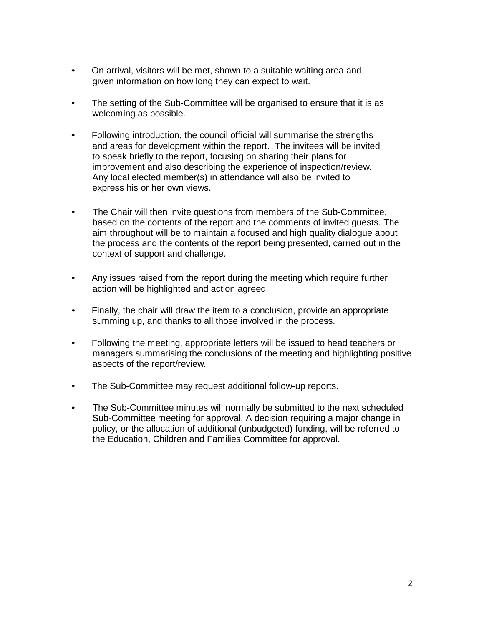- On arrival, visitors will be met, shown to a suitable waiting area and given information on how long they can expect to wait.
- The setting of the Sub-Committee will be organised to ensure that it is as welcoming as possible.
- Following introduction, the council official will summarise the strengths and areas for development within the report. The invitees will be invited to speak briefly to the report, focusing on sharing their plans for improvement and also describing the experience of inspection/review. Any local elected member(s) in attendance will also be invited to express his or her own views.
- The Chair will then invite questions from members of the Sub-Committee, based on the contents of the report and the comments of invited guests. The aim throughout will be to maintain a focused and high quality dialogue about the process and the contents of the report being presented, carried out in the context of support and challenge.
- Any issues raised from the report during the meeting which require further action will be highlighted and action agreed.
- Finally, the chair will draw the item to a conclusion, provide an appropriate summing up, and thanks to all those involved in the process.
- Following the meeting, appropriate letters will be issued to head teachers or managers summarising the conclusions of the meeting and highlighting positive aspects of the report/review.
- The Sub-Committee may request additional follow-up reports.
- The Sub-Committee minutes will normally be submitted to the next scheduled Sub-Committee meeting for approval. A decision requiring a major change in policy, or the allocation of additional (unbudgeted) funding, will be referred to the Education, Children and Families Committee for approval.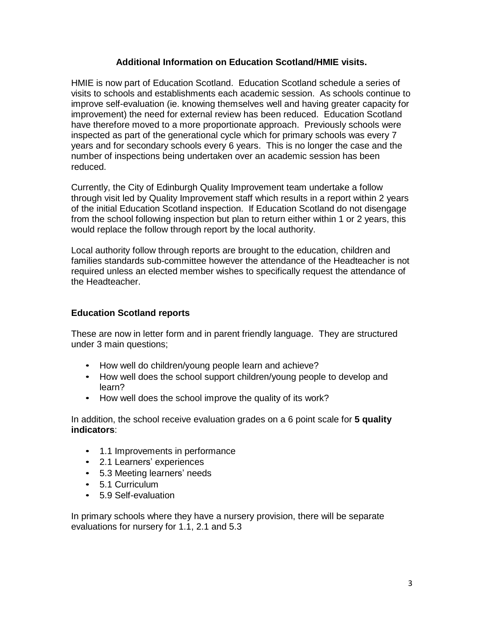## **Additional Information on Education Scotland/HMIE visits.**

HMIE is now part of Education Scotland. Education Scotland schedule a series of visits to schools and establishments each academic session. As schools continue to improve self-evaluation (ie. knowing themselves well and having greater capacity for improvement) the need for external review has been reduced. Education Scotland have therefore moved to a more proportionate approach. Previously schools were inspected as part of the generational cycle which for primary schools was every 7 years and for secondary schools every 6 years. This is no longer the case and the number of inspections being undertaken over an academic session has been reduced.

Currently, the City of Edinburgh Quality Improvement team undertake a follow through visit led by Quality Improvement staff which results in a report within 2 years of the initial Education Scotland inspection. If Education Scotland do not disengage from the school following inspection but plan to return either within 1 or 2 years, this would replace the follow through report by the local authority.

Local authority follow through reports are brought to the education, children and families standards sub-committee however the attendance of the Headteacher is not required unless an elected member wishes to specifically request the attendance of the Headteacher.

# **Education Scotland reports**

These are now in letter form and in parent friendly language. They are structured under 3 main questions;

- How well do children/young people learn and achieve?
- How well does the school support children/young people to develop and learn?
- How well does the school improve the quality of its work?

In addition, the school receive evaluation grades on a 6 point scale for **5 quality indicators**:

- 1.1 Improvements in performance
- 2.1 Learners' experiences
- 5.3 Meeting learners' needs
- 5.1 Curriculum
- 5.9 Self-evaluation

In primary schools where they have a nursery provision, there will be separate evaluations for nursery for 1.1, 2.1 and 5.3